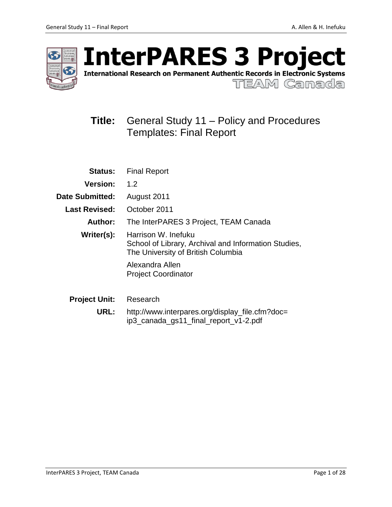

International Research on Permanent Authentic Records in Electronic Systems

TEAM Canada

# **Title:** General Study 11 – Policy and Procedures Templates: Final Report

| <b>Status:</b>         | <b>Final Report</b>                                                                                               |  |  |
|------------------------|-------------------------------------------------------------------------------------------------------------------|--|--|
| <b>Version:</b>        | 1.2                                                                                                               |  |  |
| <b>Date Submitted:</b> | August 2011                                                                                                       |  |  |
| <b>Last Revised:</b>   | October 2011                                                                                                      |  |  |
| Author:                | The InterPARES 3 Project, TEAM Canada                                                                             |  |  |
| Writer(s):             | Harrison W. Inefuku<br>School of Library, Archival and Information Studies,<br>The University of British Columbia |  |  |
|                        | Alexandra Allen<br><b>Project Coordinator</b>                                                                     |  |  |
| <b>Project Unit:</b>   | Research                                                                                                          |  |  |
| URL:                   | http://www.interpares.org/display_file.cfm?doc=<br>ip3_canada_gs11_final_report_v1-2.pdf                          |  |  |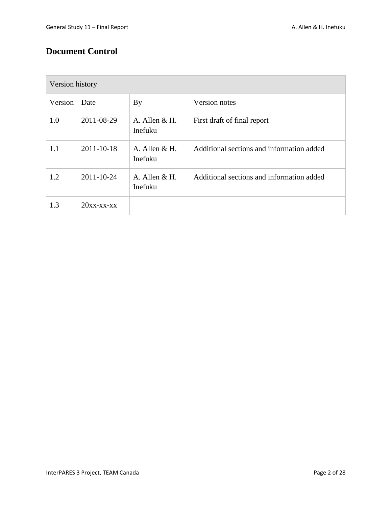## **Document Control**

| Version history |               |                           |                                           |  |  |
|-----------------|---------------|---------------------------|-------------------------------------------|--|--|
| Version         | Date          | $\underline{By}$          | Version notes                             |  |  |
| 1.0             | 2011-08-29    | A. Allen $&H.$<br>Inefuku | First draft of final report               |  |  |
| 1.1             | 2011-10-18    | A. Allen $&H.$<br>Inefuku | Additional sections and information added |  |  |
| 1.2             | 2011-10-24    | A. Allen $&H.$<br>Inefuku | Additional sections and information added |  |  |
| 1.3             | $20xx$ -xx-xx |                           |                                           |  |  |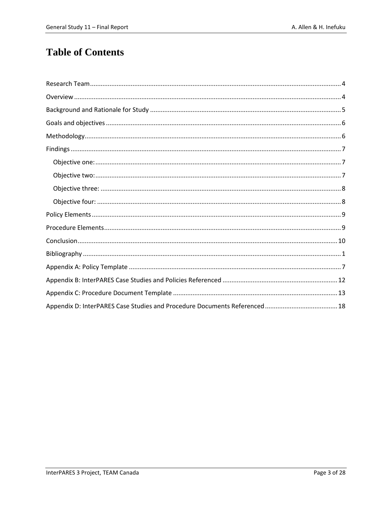# **Table of Contents**

<span id="page-2-0"></span>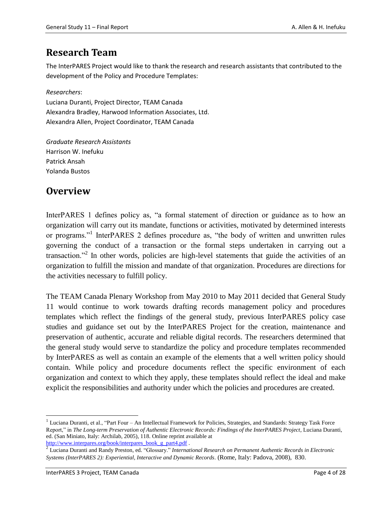## **Research Team**

The InterPARES Project would like to thank the research and research assistants that contributed to the development of the Policy and Procedure Templates:

*Researchers*:

Luciana Duranti, Project Director, TEAM Canada Alexandra Bradley, Harwood Information Associates, Ltd. Alexandra Allen, Project Coordinator, TEAM Canada

*Graduate Research Assistants* Harrison W. Inefuku Patrick Ansah Yolanda Bustos

## <span id="page-3-0"></span>**Overview**

InterPARES 1 defines policy as, "a formal statement of direction or guidance as to how an organization will carry out its mandate, functions or activities, motivated by determined interests or programs."<sup>1</sup> InterPARES 2 defines procedure as, "the body of written and unwritten rules governing the conduct of a transaction or the formal steps undertaken in carrying out a transaction."<sup>2</sup> In other words, policies are high-level statements that guide the activities of an organization to fulfill the mission and mandate of that organization. Procedures are directions for the activities necessary to fulfill policy.

The TEAM Canada Plenary Workshop from May 2010 to May 2011 decided that General Study 11 would continue to work towards drafting records management policy and procedures templates which reflect the findings of the general study, previous InterPARES policy case studies and guidance set out by the InterPARES Project for the creation, maintenance and preservation of authentic, accurate and reliable digital records. The researchers determined that the general study would serve to standardize the policy and procedure templates recommended by InterPARES as well as contain an example of the elements that a well written policy should contain. While policy and procedure documents reflect the specific environment of each organization and context to which they apply, these templates should reflect the ideal and make explicit the responsibilities and authority under which the policies and procedures are created.

 $\overline{\phantom{a}}$ 

<sup>&</sup>lt;sup>1</sup> Luciana Duranti, et al., "Part Four – An Intellectual Framework for Policies, Strategies, and Standards: Strategy Task Force Report," in *The Long-term Preservation of Authentic Electronic Records: Findings of the InterPARES Project*, Luciana Duranti, ed. (San Miniato, Italy: Archilab, 2005), 118. Online reprint available at

[http://www.interpares.org/book/interpares\\_book\\_g\\_part4.pdf](http://www.interpares.org/book/interpares_book_g_part4.pdf) . 2 Luciana Duranti and Randy Preston, ed. "Glossary." *International Research on Permanent Authentic Records in Electronic Systems (InterPARES 2): Experiential, Interactive and Dynamic Records*. (Rome, Italy: Padova, 2008), 830.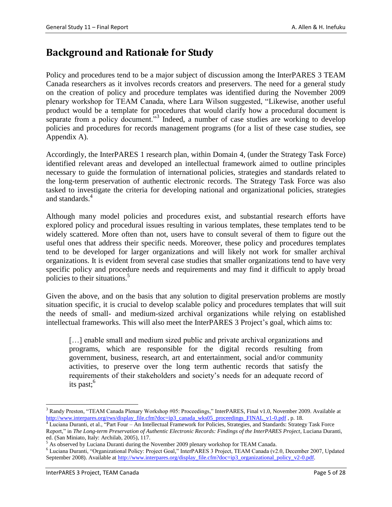## <span id="page-4-0"></span>**Background and Rationale for Study**

Policy and procedures tend to be a major subject of discussion among the InterPARES 3 TEAM Canada researchers as it involves records creators and preservers. The need for a general study on the creation of policy and procedure templates was identified during the November 2009 plenary workshop for TEAM Canada, where Lara Wilson suggested, "Likewise, another useful product would be a template for procedures that would clarify how a procedural document is separate from a policy document."<sup>3</sup> Indeed, a number of case studies are working to develop policies and procedures for records management programs (for a list of these case studies, see Appendix A).

Accordingly, the InterPARES 1 research plan, within Domain 4, (under the Strategy Task Force) identified relevant areas and developed an intellectual framework aimed to outline principles necessary to guide the formulation of international policies, strategies and standards related to the long-term preservation of authentic electronic records. The Strategy Task Force was also tasked to investigate the criteria for developing national and organizational policies, strategies and standards.<sup>4</sup>

Although many model policies and procedures exist, and substantial research efforts have explored policy and procedural issues resulting in various templates, these templates tend to be widely scattered. More often than not, users have to consult several of them to figure out the useful ones that address their specific needs. Moreover, these policy and procedures templates tend to be developed for larger organizations and will likely not work for smaller archival organizations. It is evident from several case studies that smaller organizations tend to have very specific policy and procedure needs and requirements and may find it difficult to apply broad policies to their situations.<sup>5</sup>

Given the above, and on the basis that any solution to digital preservation problems are mostly situation specific, it is crucial to develop scalable policy and procedures templates that will suit the needs of small- and medium-sized archival organizations while relying on established intellectual frameworks. This will also meet the InterPARES 3 Project's goal, which aims to:

[...] enable small and medium sized public and private archival organizations and programs, which are responsible for the digital records resulting from government, business, research, art and entertainment, social and/or community activities, to preserve over the long term authentic records that satisfy the requirements of their stakeholders and society's needs for an adequate record of its past;<sup>6</sup>

 $\overline{\phantom{a}}$ <sup>3</sup> Randy Preston, "TEAM Canada Plenary Workshop #05: Proceedings," InterPARES, Final v1.0, November 2009. Available at [http://www.interpares.org/rws/display\\_file.cfm?doc=ip3\\_canada\\_wks05\\_proceedings\\_FINAL\\_v1-0.pdf](http://www.interpares.org/rws/display_file.cfm?doc=ip3_canada_wks05_proceedings_FINAL_v1-0.pdf) , p. 18.

<sup>4</sup> Luciana Duranti, et al., "Part Four – An Intellectual Framework for Policies, Strategies, and Standards: Strategy Task Force Report," in *The Long-term Preservation of Authentic Electronic Records: Findings of the InterPARES Project*, Luciana Duranti, ed. (San Miniato, Italy: Archilab, 2005), 117.

<sup>&</sup>lt;sup>5</sup> As observed by Luciana Duranti during the November 2009 plenary workshop for TEAM Canada.

<sup>6</sup> Luciana Duranti, "Organizational Policy: Project Goal," InterPARES 3 Project, TEAM Canada (v2.0, December 2007, Updated September 2008). Available at [http://www.interpares.org/display\\_file.cfm?doc=ip3\\_organizational\\_policy\\_v2-0.pdf.](http://www.interpares.org/display_file.cfm?doc=ip3_organizational_policy_v2-0.pdf)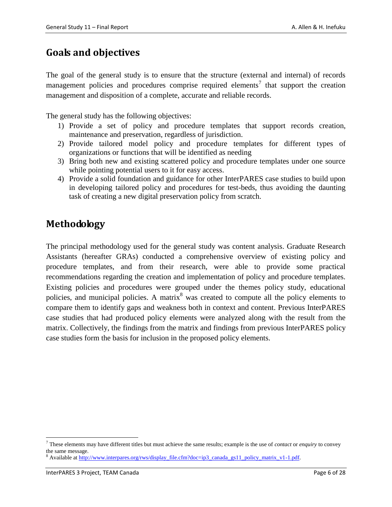## <span id="page-5-0"></span>**Goals and objectives**

The goal of the general study is to ensure that the structure (external and internal) of records management policies and procedures comprise required elements<sup>7</sup> that support the creation management and disposition of a complete, accurate and reliable records.

The general study has the following objectives:

- 1) Provide a set of policy and procedure templates that support records creation, maintenance and preservation, regardless of jurisdiction.
- 2) Provide tailored model policy and procedure templates for different types of organizations or functions that will be identified as needing
- 3) Bring both new and existing scattered policy and procedure templates under one source while pointing potential users to it for easy access.
- 4) Provide a solid foundation and guidance for other InterPARES case studies to build upon in developing tailored policy and procedures for test-beds, thus avoiding the daunting task of creating a new digital preservation policy from scratch.

## <span id="page-5-1"></span>**Methodology**

The principal methodology used for the general study was content analysis. Graduate Research Assistants (hereafter GRAs) conducted a comprehensive overview of existing policy and procedure templates, and from their research, were able to provide some practical recommendations regarding the creation and implementation of policy and procedure templates. Existing policies and procedures were grouped under the themes policy study, educational policies, and municipal policies. A matrix<sup>8</sup> was created to compute all the policy elements to compare them to identify gaps and weakness both in context and content. Previous InterPARES case studies that had produced policy elements were analyzed along with the result from the matrix. Collectively, the findings from the matrix and findings from previous InterPARES policy case studies form the basis for inclusion in the proposed policy elements.

<span id="page-5-2"></span>l

<sup>7</sup> These elements may have different titles but must achieve the same results; example is the use of *contact* or *enquiry* to convey the same message.

<sup>&</sup>lt;sup>8</sup> Available at [http://www.interpares.org/rws/display\\_file.cfm?doc=ip3\\_canada\\_gs11\\_policy\\_matrix\\_v1-1.pdf.](http://www.interpares.org/rws/display_file.cfm?doc=ip3_canada_gs11_policy_matrix_v1-1.pdf)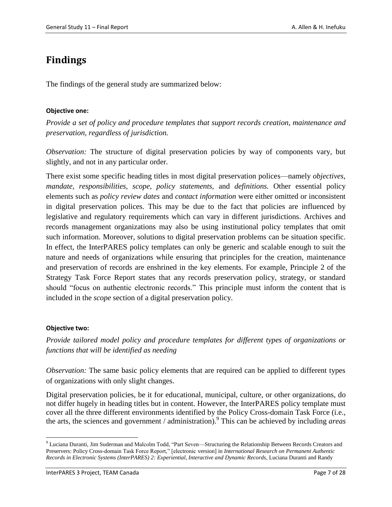# **Findings**

The findings of the general study are summarized below:

#### <span id="page-6-0"></span>**Objective one:**

*Provide a set of policy and procedure templates that support records creation, maintenance and preservation, regardless of jurisdiction.*

*Observation:* The structure of digital preservation policies by way of components vary, but slightly, and not in any particular order.

There exist some specific heading titles in most digital preservation polices—namely *objectives, mandate, responsibilities, scope, policy statements,* and *definitions.* Other essential policy elements such as *policy review dates* and *contact information* were either omitted or inconsistent in digital preservation polices. This may be due to the fact that policies are influenced by legislative and regulatory requirements which can vary in different jurisdictions. Archives and records management organizations may also be using institutional policy templates that omit such information. Moreover, solutions to digital preservation problems can be situation specific. In effect, the InterPARES policy templates can only be generic and scalable enough to suit the nature and needs of organizations while ensuring that principles for the creation, maintenance and preservation of records are enshrined in the key elements. For example, Principle 2 of the Strategy Task Force Report states that any records preservation policy, strategy, or standard should "focus on authentic electronic records." This principle must inform the content that is included in the *scope* section of a digital preservation policy.

#### <span id="page-6-1"></span>**Objective two:**

l

*Provide tailored model policy and procedure templates for different types of organizations or functions that will be identified as needing* 

*Observation:* The same basic policy elements that are required can be applied to different types of organizations with only slight changes.

Digital preservation policies, be it for educational, municipal, culture, or other organizations, do not differ hugely in heading titles but in content. However, the InterPARES policy template must cover all the three different environments identified by the Policy Cross-domain Task Force (i.e., the arts, the sciences and government / administration). 9 This can be achieved by including *areas* 

<sup>&</sup>lt;sup>9</sup> Luciana Duranti, Jim Suderman and Malcolm Todd, "Part Seven—Structuring the Relationship Between Records Creators and Preservers: Policy Cross-domain Task Force Report," [electronic version] in *International Research on Permanent Authentic Records in Electronic Systems (InterPARES) 2: Experiential, Interactive and Dynamic Records*, Luciana Duranti and Randy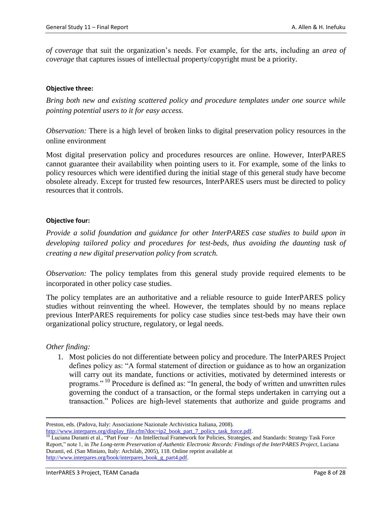*of coverage* that suit the organization's needs. For example, for the arts, including an *area of coverage* that captures issues of intellectual property/copyright must be a priority.

#### <span id="page-7-0"></span>**Objective three:**

*Bring both new and existing scattered policy and procedure templates under one source while pointing potential users to it for easy access.*

*Observation:* There is a high level of broken links to digital preservation policy resources in the online environment

Most digital preservation policy and procedures resources are online. However, InterPARES cannot guarantee their availability when pointing users to it. For example, some of the links to policy resources which were identified during the initial stage of this general study have become obsolete already. Except for trusted few resources, InterPARES users must be directed to policy resources that it controls.

#### <span id="page-7-1"></span>**Objective four:**

*Provide a solid foundation and guidance for other InterPARES case studies to build upon in developing tailored policy and procedures for test-beds, thus avoiding the daunting task of creating a new digital preservation policy from scratch.*

*Observation:* The policy templates from this general study provide required elements to be incorporated in other policy case studies.

The policy templates are an authoritative and a reliable resource to guide InterPARES policy studies without reinventing the wheel. However, the templates should by no means replace previous InterPARES requirements for policy case studies since test-beds may have their own organizational policy structure, regulatory, or legal needs.

#### *Other finding:*

 $\overline{\phantom{a}}$ 

1. Most policies do not differentiate between policy and procedure. The InterPARES Project defines policy as: "A formal statement of direction or guidance as to how an organization will carry out its mandate, functions or activities, motivated by determined interests or programs." <sup>10</sup> Procedure is defined as: "In general, the body of written and unwritten rules governing the conduct of a transaction, or the formal steps undertaken in carrying out a transaction." Polices are high-level statements that authorize and guide programs and

Preston, eds. (Padova, Italy: Associazione Nazionale Archivistica Italiana, 2008).

[http://www.interpares.org/display\\_file.cfm?doc=ip2\\_book\\_part\\_7\\_policy\\_task\\_force.pdf.](http://www.interpares.org/display_file.cfm?doc=ip2_book_part_7_policy_task_force.pdf)

<sup>&</sup>lt;sup>10</sup> Luciana Duranti et al., "Part Four – An Intellectual Framework for Policies, Strategies, and Standards: Strategy Task Force Report," note 1, in *The Long-term Preservation of Authentic Electronic Records: Findings of the InterPARES Project*, Luciana Duranti, ed. (San Miniato, Italy: Archilab, 2005), 118. Online reprint available at [http://www.interpares.org/book/interpares\\_book\\_g\\_part4.pdf.](http://www.interpares.org/book/interpares_book_g_part4.pdf)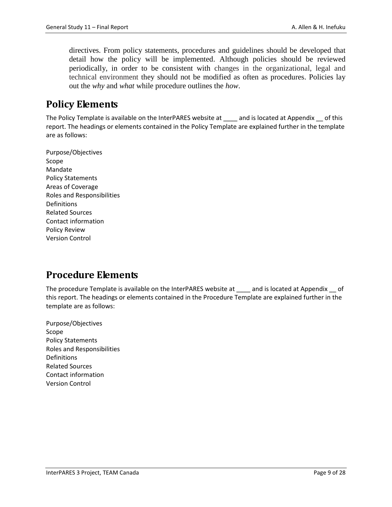directives. From policy statements, procedures and guidelines should be developed that detail how the policy will be implemented. Although policies should be reviewed periodically, in order to be consistent with changes in the organizational, legal and technical environment they should not be modified as often as procedures. Policies lay out the *why* and *what* while procedure outlines the *how*.

## <span id="page-8-0"></span>**Policy Elements**

The Policy Template is available on the InterPARES website at \_\_\_\_ and is located at Appendix \_\_ of this report. The headings or elements contained in the Policy Template are explained further in the template are as follows:

Purpose/Objectives Scope Mandate Policy Statements Areas of Coverage Roles and Responsibilities Definitions Related Sources Contact information Policy Review Version Control

## <span id="page-8-1"></span>**Procedure Elements**

The procedure Template is available on the InterPARES website at and is located at Appendix of this report. The headings or elements contained in the Procedure Template are explained further in the template are as follows:

<span id="page-8-2"></span>Purpose/Objectives Scope Policy Statements Roles and Responsibilities Definitions Related Sources Contact information Version Control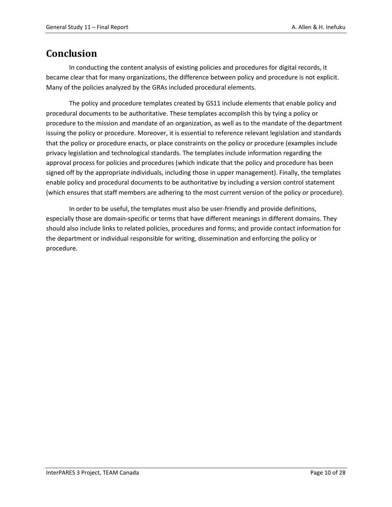## **Conclusion**

In conducting the content analysis of existing policies and procedures for digital records, it became clear that for many organizations, the difference between policy and procedure is not explicit. Many of the policies analyzed by the GRAs included procedural elements.

The policy and procedure templates created by GS11 include elements that enable policy and procedural documents to be authoritative. These templates accomplish this by tying a policy or procedure to the mission and mandate of an organization, as well as to the mandate of the department issuing the policy or procedure. Moreover, it is essential to reference relevant legislation and standards that the policy or procedure enacts, or place constraints on the policy or procedure (examples include privacy legislation and technological standards. The templates include information regarding the approval process for policies and procedures (which indicate that the policy and procedure has been signed off by the appropriate individuals, including those in upper management). Finally, the templates enable policy and procedural documents to be authoritative by including a version control statement (which ensures that staff members are adhering to the most current version of the policy or procedure).

<span id="page-9-0"></span>In order to be useful, the templates must also be user-friendly and provide definitions, especially those are domain-specific or terms that have different meanings in different domains. They should also include links to related policies, procedures and forms; and provide contact information for the department or individual responsible for writing, dissemination and enforcing the policy or procedure.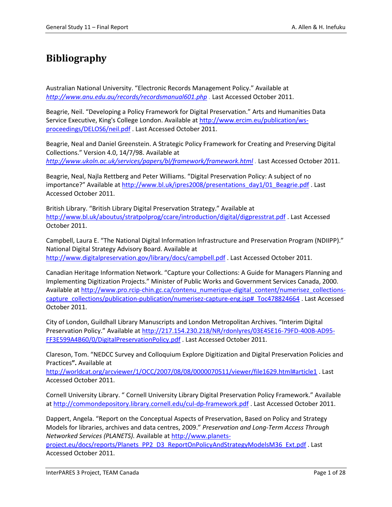# **Bibliography**

Australian National University. "Electronic Records Management Policy." Available at *<http://www.anu.edu.au/records/recordsmanual601.php> .* Last Accessed October 2011.

Beagrie, Neil. "Developing a Policy Framework for Digital Preservation." Arts and Humanities Data Service Executive, King's College London. Available a[t http://www.ercim.eu/publication/ws](http://www.ercim.eu/publication/ws-proceedings/DELOS6/neil.pdf)[proceedings/DELOS6/neil.pdf](http://www.ercim.eu/publication/ws-proceedings/DELOS6/neil.pdf) . Last Accessed October 2011.

Beagrie, Neal and Daniel Greenstein. A Strategic Policy Framework for Creating and Preserving Digital Collections." Version 4.0, 14/7/98. Available at *<http://www.ukoln.ac.uk/services/papers/bl/framework/framework.html> .* Last Accessed October 2011.

Beagrie, Neal, Najla Rettberg and Peter Williams. "Digital Preservation Policy: A subject of no importance?" Available at [http://www.bl.uk/ipres2008/presentations\\_day1/01\\_Beagrie.pdf](http://www.bl.uk/ipres2008/presentations_day1/01_Beagrie.pdf) . Last Accessed October 2011.

British Library. "British Library Digital Preservation Strategy." Available at <http://www.bl.uk/aboutus/stratpolprog/ccare/introduction/digital/digpresstrat.pdf> . Last Accessed October 2011.

Campbell, Laura E. "The National Digital Information Infrastructure and Preservation Program (NDIIPP)." National Digital Strategy Advisory Board. Available at <http://www.digitalpreservation.gov/library/docs/campbell.pdf> . Last Accessed October 2011.

Canadian Heritage Information Network. "Capture your Collections: A Guide for Managers Planning and Implementing Digitization Projects." Minister of Public Works and Government Services Canada, 2000. Available a[t http://www.pro.rcip-chin.gc.ca/contenu\\_numerique-digital\\_content/numerisez\\_collections](http://www.pro.rcip-chin.gc.ca/contenu_numerique-digital_content/numerisez_collections-capture_collections/publication-publication/numerisez-capture-eng.jsp#_Toc478824664)[capture\\_collections/publication-publication/numerisez-capture-eng.jsp#\\_Toc478824664](http://www.pro.rcip-chin.gc.ca/contenu_numerique-digital_content/numerisez_collections-capture_collections/publication-publication/numerisez-capture-eng.jsp#_Toc478824664) . Last Accessed October 2011.

City of London, Guildhall Library Manuscripts and London Metropolitan Archives. "Interim Digital Preservation Policy." Available at [http://217.154.230.218/NR/rdonlyres/03E45E16-79FD-400B-AD95-](http://217.154.230.218/NR/rdonlyres/03E45E16-79FD-400B-AD95-FF3E599A4B60/0/DigitalPreservationPolicy.pdf) [FF3E599A4B60/0/DigitalPreservationPolicy.pdf](http://217.154.230.218/NR/rdonlyres/03E45E16-79FD-400B-AD95-FF3E599A4B60/0/DigitalPreservationPolicy.pdf) . Last Accessed October 2011.

Clareson, Tom. "NEDCC Survey and Colloquium Explore Digitization and Digital Preservation Policies and Practices**".** Available at

<http://worldcat.org/arcviewer/1/OCC/2007/08/08/0000070511/viewer/file1629.html#article1> . Last Accessed October 2011.

Cornell University Library. " Cornell University Library Digital Preservation Policy Framework." Available a[t http://commondepository.library.cornell.edu/cul-dp-framework.pdf](http://commondepository.library.cornell.edu/cul-dp-framework.pdf) . Last Accessed October 2011.

Dappert, Angela. "Report on the Conceptual Aspects of Preservation, Based on Policy and Strategy Models for libraries, archives and data centres, 2009." *Preservation and Long-Term Access Through Networked Services (PLANETS).* Available at [http://www.planets](http://www.planets-project.eu/docs/reports/Planets_PP2_D3_ReportOnPolicyAndStrategyModelsM36_Ext.pdf)[project.eu/docs/reports/Planets\\_PP2\\_D3\\_ReportOnPolicyAndStrategyModelsM36\\_Ext.pdf](http://www.planets-project.eu/docs/reports/Planets_PP2_D3_ReportOnPolicyAndStrategyModelsM36_Ext.pdf) . Last Accessed October 2011.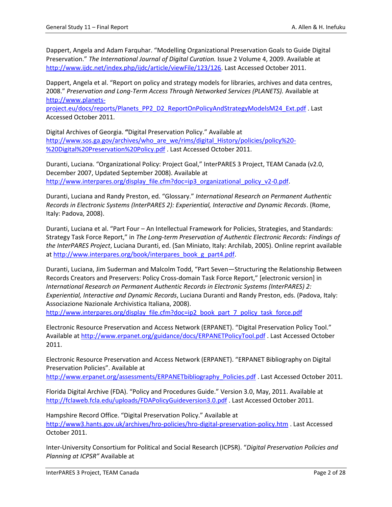Dappert, Angela and Adam Farquhar. "Modelling Organizational Preservation Goals to Guide Digital Preservation." *The International Journal of Digital Curation.* Issue 2 Volume 4, 2009. Available at [http://www.ijdc.net/index.php/ijdc/article/viewFile/123/126.](http://www.ijdc.net/index.php/ijdc/article/viewFile/123/126) Last Accessed October 2011.

Dappert, Angela et al. "Report on policy and strategy models for libraries, archives and data centres, 2008." *Preservation and Long-Term Access Through Networked Services (PLANETS).* Available at [http://www.planets-](http://www.planets-project.eu/docs/reports/Planets_PP2_D2_ReportOnPolicyAndStrategyModelsM24_Ext.pdf)

[project.eu/docs/reports/Planets\\_PP2\\_D2\\_ReportOnPolicyAndStrategyModelsM24\\_Ext.pdf](http://www.planets-project.eu/docs/reports/Planets_PP2_D2_ReportOnPolicyAndStrategyModelsM24_Ext.pdf) . Last Accessed October 2011.

Digital Archives of Georgia. **"**Digital Preservation Policy." Available at [http://www.sos.ga.gov/archives/who\\_are\\_we/rims/digital\\_History/policies/policy%20-](http://www.sos.ga.gov/archives/who_are_we/rims/digital_History/policies/policy%20-%20Digital%20Preservation%20Policy.pdf) [%20Digital%20Preservation%20Policy.pdf](http://www.sos.ga.gov/archives/who_are_we/rims/digital_History/policies/policy%20-%20Digital%20Preservation%20Policy.pdf) . Last Accessed October 2011.

Duranti, Luciana. "Organizational Policy: Project Goal," InterPARES 3 Project, TEAM Canada (v2.0, December 2007, Updated September 2008). Available at [http://www.interpares.org/display\\_file.cfm?doc=ip3\\_organizational\\_policy\\_v2-0.pdf.](http://www.interpares.org/display_file.cfm?doc=ip3_organizational_policy_v2-0.pdf)

Duranti, Luciana and Randy Preston, ed. "Glossary." *International Research on Permanent Authentic Records in Electronic Systems (InterPARES 2): Experiential, Interactive and Dynamic Records*. (Rome, Italy: Padova, 2008).

Duranti, Luciana et al. "Part Four – An Intellectual Framework for Policies, Strategies, and Standards: Strategy Task Force Report," in *The Long-term Preservation of Authentic Electronic Records: Findings of the InterPARES Project*, Luciana Duranti, ed. (San Miniato, Italy: Archilab, 2005). Online reprint available a[t http://www.interpares.org/book/interpares\\_book\\_g\\_part4.pdf.](http://www.interpares.org/book/interpares_book_g_part4.pdf)

Duranti, Luciana, Jim Suderman and Malcolm Todd, "Part Seven—Structuring the Relationship Between Records Creators and Preservers: Policy Cross-domain Task Force Report," [electronic version] in *International Research on Permanent Authentic Records in Electronic Systems (InterPARES) 2: Experiential, Interactive and Dynamic Records*, Luciana Duranti and Randy Preston, eds. (Padova, Italy: Associazione Nazionale Archivistica Italiana, 2008).

[http://www.interpares.org/display\\_file.cfm?doc=ip2\\_book\\_part\\_7\\_policy\\_task\\_force.pdf](http://www.interpares.org/display_file.cfm?doc=ip2_book_part_7_policy_task_force.pdf)

Electronic Resource Preservation and Access Network (ERPANET). "Digital Preservation Policy Tool." Available a[t http://www.erpanet.org/guidance/docs/ERPANETPolicyTool.pdf](http://www.erpanet.org/guidance/docs/ERPANETPolicyTool.pdf) . Last Accessed October 2011.

Electronic Resource Preservation and Access Network (ERPANET). "ERPANET Bibliography on Digital Preservation Policies". Available at

[http://www.erpanet.org/assessments/ERPANETbibliography\\_Policies.pdf](http://www.erpanet.org/assessments/ERPANETbibliography_Policies.pdf) . Last Accessed October 2011.

Florida Digital Archive (FDA). "Policy and Procedures Guide." Version 3.0, May, 2011. Available at <http://fclaweb.fcla.edu/uploads/FDAPolicyGuideversion3.0.pdf> . Last Accessed October 2011.

Hampshire Record Office. "Digital Preservation Policy." Available at <http://www3.hants.gov.uk/archives/hro-policies/hro-digital-preservation-policy.htm> . Last Accessed October 2011.

Inter-University Consortium for Political and Social Research (ICPSR). "*Digital Preservation Policies and Planning at ICPSR"* Available at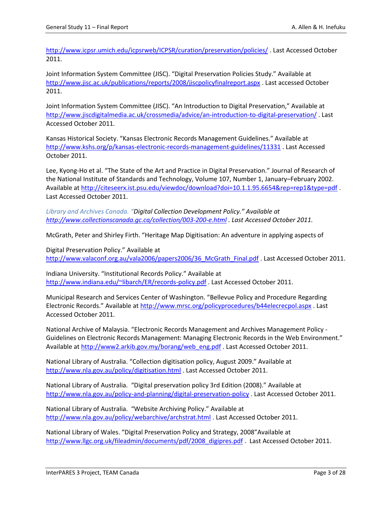<http://www.icpsr.umich.edu/icpsrweb/ICPSR/curation/preservation/policies/> . Last Accessed October 2011.

Joint Information System Committee (JISC). "Digital Preservation Policies Study." Available at <http://www.jisc.ac.uk/publications/reports/2008/jiscpolicyfinalreport.aspx> . Last accessed October 2011.

Joint Information System Committee (JISC). "An Introduction to Digital Preservation," Available at <http://www.jiscdigitalmedia.ac.uk/crossmedia/advice/an-introduction-to-digital-preservation/> . Last Accessed October 2011.

Kansas Historical Society. "Kansas Electronic Records Management Guidelines." Available at <http://www.kshs.org/p/kansas-electronic-records-management-guidelines/11331> . Last Accessed October 2011.

Lee, Kyong-Ho et al. "The State of the Art and Practice in Digital Preservation." Journal of Research of the National Institute of Standards and Technology, Volume 107, Number 1, January–February 2002. Available a[t http://citeseerx.ist.psu.edu/viewdoc/download?doi=10.1.1.95.6654&rep=rep1&type=pdf](http://citeseerx.ist.psu.edu/viewdoc/download?doi=10.1.1.95.6654&rep=rep1&type=pdf) . Last Accessed October 2011.

*Library and Archives Canada. "Digital Collection Development Policy." Available at <http://www.collectionscanada.gc.ca/collection/003-200-e.html> . Last Accessed October 2011.*

McGrath, Peter and Shirley Firth. "Heritage Map Digitisation: An adventure in applying aspects of

Digital Preservation Policy." Available at [http://www.valaconf.org.au/vala2006/papers2006/36\\_McGrath\\_Final.pdf](http://www.valaconf.org.au/vala2006/papers2006/36_McGrath_Final.pdf) . Last Accessed October 2011.

Indiana University. "Institutional Records Policy." Available at <http://www.indiana.edu/~libarch/ER/records-policy.pdf> . Last Accessed October 2011.

Municipal Research and Services Center of Washington. "Bellevue Policy and Procedure Regarding Electronic Records." Available at <http://www.mrsc.org/policyprocedures/b44elecrecpol.aspx> . Last Accessed October 2011.

National Archive of Malaysia. "Electronic Records Management and Archives Management Policy - Guidelines on Electronic Records Management: Managing Electronic Records in the Web Environment." Available a[t http://www2.arkib.gov.my/borang/web\\_eng.pdf](http://www2.arkib.gov.my/borang/web_eng.pdf) . Last Accessed October 2011.

National Library of Australia. "Collection digitisation policy, August 2009." Available at <http://www.nla.gov.au/policy/digitisation.html> . Last Accessed October 2011.

National Library of Australia. "Digital preservation policy 3rd Edition (2008)." Available at <http://www.nla.gov.au/policy-and-planning/digital-preservation-policy> . Last Accessed October 2011.

National Library of Australia. "Website Archiving Policy." Available at <http://www.nla.gov.au/policy/webarchive/archstrat.html> . Last Accessed October 2011.

National Library of Wales. "Digital Preservation Policy and Strategy, 2008"Available at [http://www.llgc.org.uk/fileadmin/documents/pdf/2008\\_digipres.pdf](http://www.llgc.org.uk/fileadmin/documents/pdf/2008_digipres.pdf) . Last Accessed October 2011.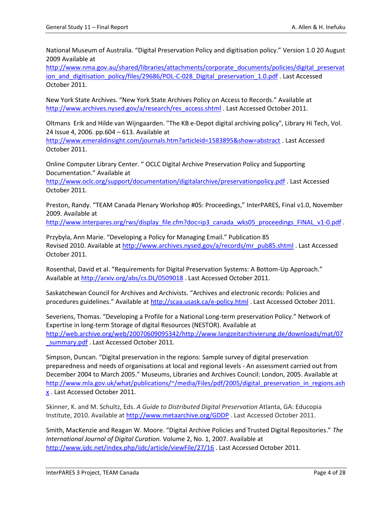National Museum of Australia. "Digital Preservation Policy and digitisation policy." Version 1.0 20 August 2009 Available at

[http://www.nma.gov.au/shared/libraries/attachments/corporate\\_documents/policies/digital\\_preservat](http://www.nma.gov.au/shared/libraries/attachments/corporate_documents/policies/digital_preservation_and_digitisation_policy/files/29686/POL-C-028_Digital_preservation_1.0.pdf) ion and digitisation policy/files/29686/POL-C-028 Digital preservation 1.0.pdf . Last Accessed October 2011.

New York State Archives. "New York State Archives Policy on Access to Records." Available at [http://www.archives.nysed.gov/a/research/res\\_access.shtml](http://www.archives.nysed.gov/a/research/res_access.shtml) . Last Accessed October 2011.

Oltmans Erik and Hilde van Wijngaarden. "The KB e-Depot digital archiving policy", Library Hi Tech, Vol. 24 Issue 4, 2006. pp.604 – 613. Available at

<http://www.emeraldinsight.com/journals.htm?articleid=1583895&show=abstract> . Last Accessed October 2011.

Online Computer Library Center. " OCLC Digital Archive Preservation Policy and Supporting Documentation." Available at

<http://www.oclc.org/support/documentation/digitalarchive/preservationpolicy.pdf> . Last Accessed October 2011.

Preston, Randy. "TEAM Canada Plenary Workshop #05: Proceedings," InterPARES, Final v1.0, November 2009. Available at

[http://www.interpares.org/rws/display\\_file.cfm?doc=ip3\\_canada\\_wks05\\_proceedings\\_FINAL\\_v1-0.pdf](http://www.interpares.org/rws/display_file.cfm?doc=ip3_canada_wks05_proceedings_FINAL_v1-0.pdf) .

Przybyla, Ann Marie. "Developing a Policy for Managing Email." Publication 85 Revised 2010. Available at [http://www.archives.nysed.gov/a/records/mr\\_pub85.shtml](http://www.archives.nysed.gov/a/records/mr_pub85.shtml) . Last Accessed October 2011.

Rosenthal, David et al. "Requirements for Digital Preservation Systems: A Bottom-Up Approach." Available a[t http://arxiv.org/abs/cs.DL/0509018](http://arxiv.org/abs/cs.DL/0509018) . Last Accessed October 2011.

Saskatchewan Council for Archives and Archivists. "Archives and electronic records: Policies and procedures guidelines." Available at <http://scaa.usask.ca/e-policy.html> . Last Accessed October 2011.

Severiens, Thomas. "Developing a Profile for a National Long-term preservation Policy." Network of Expertise in long-term Storage of digital Resources (NESTOR). Available at [http://web.archive.org/web/20070609095342/http://www.langzeitarchivierung.de/downloads/mat/07](http://web.archive.org/web/20070609095342/http:/www.langzeitarchivierung.de/downloads/mat/07_summary.pdf) summary.pdf . Last Accessed October 2011.

Simpson, Duncan. "Digital preservation in the regions: Sample survey of digital preservation preparedness and needs of organisations at local and regional levels - An assessment carried out from December 2004 to March 2005." Museums, Libraries and Archives Council: London, 2005. Available at [http://www.mla.gov.uk/what/publications/~/media/Files/pdf/2005/digital\\_preservation\\_in\\_regions.ash](http://www.mla.gov.uk/what/publications/~/media/Files/pdf/2005/digital_preservation_in_regions.ashx) [x](http://www.mla.gov.uk/what/publications/~/media/Files/pdf/2005/digital_preservation_in_regions.ashx). Last Accessed October 2011.

Skinner, K. and M. Schultz, Eds. *A Guide to Distributed Digital Preservation* Atlanta, GA: Educopia Institute, 2010. Available at<http://www.metaarchive.org/GDDP> . Last Accessed October 2011.

Smith, MacKenzie and Reagan W. Moore. "Digital Archive Policies and Trusted Digital Repositories." *The International Journal of Digital Curation.* Volume 2, No. 1, 2007. Available at <http://www.ijdc.net/index.php/ijdc/article/viewFile/27/16> . Last Accessed October 2011.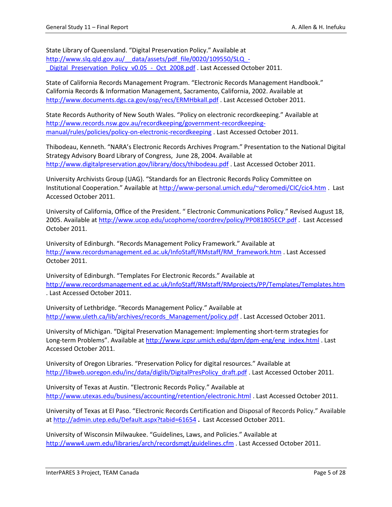State Library of Queensland. "Digital Preservation Policy." Available at http://www.slq.qld.gov.au/ \_data/assets/pdf\_file/0020/109550/SLQ -Digital Preservation Policy v0.05 - Oct 2008.pdf . Last Accessed October 2011.

State of California Records Management Program. "Electronic Records Management Handbook." California Records & Information Management, Sacramento, California, 2002. Available at <http://www.documents.dgs.ca.gov/osp/recs/ERMHbkall.pdf> . Last Accessed October 2011.

State Records Authority of New South Wales. "Policy on electronic recordkeeping." Available at [http://www.records.nsw.gov.au/recordkeeping/government-recordkeeping](http://www.records.nsw.gov.au/recordkeeping/government-recordkeeping-manual/rules/policies/policy-on-electronic-recordkeeping)[manual/rules/policies/policy-on-electronic-recordkeeping](http://www.records.nsw.gov.au/recordkeeping/government-recordkeeping-manual/rules/policies/policy-on-electronic-recordkeeping) . Last Accessed October 2011.

Thibodeau, Kenneth. "NARA's Electronic Records Archives Program." Presentation to the National Digital Strategy Advisory Board Library of Congress, June 28, 2004. Available at <http://www.digitalpreservation.gov/library/docs/thibodeau.pdf> . Last Accessed October 2011.

University Archivists Group (UAG). "Standards for an Electronic Records Policy Committee on Institutional Cooperation." Available at <http://www-personal.umich.edu/~deromedi/CIC/cic4.htm> . Last Accessed October 2011.

University of California, Office of the President. " Electronic Communications Policy." Revised August 18, 2005. Available at<http://www.ucop.edu/ucophome/coordrev/policy/PP081805ECP.pdf> . Last Accessed October 2011.

University of Edinburgh. "Records Management Policy Framework." Available at [http://www.recordsmanagement.ed.ac.uk/InfoStaff/RMstaff/RM\\_framework.htm](http://www.recordsmanagement.ed.ac.uk/InfoStaff/RMstaff/RM_framework.htm) . Last Accessed October 2011.

University of Edinburgh. "Templates For Electronic Records." Available at <http://www.recordsmanagement.ed.ac.uk/InfoStaff/RMstaff/RMprojects/PP/Templates/Templates.htm> . Last Accessed October 2011.

University of Lethbridge. "Records Management Policy." Available at [http://www.uleth.ca/lib/archives/records\\_Management/policy.pdf](http://www.uleth.ca/lib/archives/records_Management/policy.pdf) . Last Accessed October 2011.

University of Michigan. "Digital Preservation Management: Implementing short-term strategies for Long-term Problems". Available at [http://www.icpsr.umich.edu/dpm/dpm-eng/eng\\_index.html](http://www.icpsr.umich.edu/dpm/dpm-eng/eng_index.html) . Last Accessed October 2011.

University of Oregon Libraries. "Preservation Policy for digital resources." Available at [http://libweb.uoregon.edu/inc/data/diglib/DigitalPresPolicy\\_draft.pdf](http://libweb.uoregon.edu/inc/data/diglib/DigitalPresPolicy_draft.pdf) . Last Accessed October 2011.

University of Texas at Austin. "Electronic Records Policy." Available at <http://www.utexas.edu/business/accounting/retention/electronic.html> . Last Accessed October 2011.

University of Texas at El Paso. "Electronic Records Certification and Disposal of Records Policy." Available a[t http://admin.utep.edu/Default.aspx?tabid=61654](http://admin.utep.edu/Default.aspx?tabid=61654) **.** Last Accessed October 2011.

University of Wisconsin Milwaukee. "Guidelines, Laws, and Policies." Available at <http://www4.uwm.edu/libraries/arch/recordsmgt/guidelines.cfm> . Last Accessed October 2011.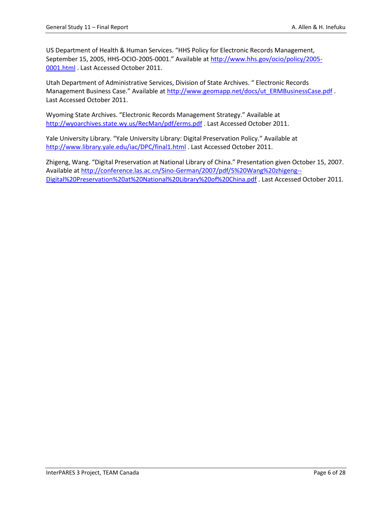US Department of Health & Human Services. "HHS Policy for Electronic Records Management, September 15, 2005, HHS-OCIO-2005-0001." Available at [http://www.hhs.gov/ocio/policy/2005-](http://www.hhs.gov/ocio/policy/2005-0001.html) [0001.html](http://www.hhs.gov/ocio/policy/2005-0001.html) . Last Accessed October 2011.

Utah Department of Administrative Services, Division of State Archives. " Electronic Records Management Business Case." Available at [http://www.geomapp.net/docs/ut\\_ERMBusinessCase.pdf](http://www.geomapp.net/docs/ut_ERMBusinessCase.pdf) . Last Accessed October 2011.

Wyoming State Archives. "Electronic Records Management Strategy." Available at <http://wyoarchives.state.wy.us/RecMan/pdf/erms.pdf> . Last Accessed October 2011.

Yale University Library. "Yale University Library: Digital Preservation Policy." Available at <http://www.library.yale.edu/iac/DPC/final1.html> . Last Accessed October 2011.

Zhigeng, Wang. "Digital Preservation at National Library of China." Presentation given October 15, 2007. Available a[t http://conference.las.ac.cn/Sino-German/2007/pdf/5%20Wang%20zhigeng--](http://conference.las.ac.cn/Sino-German/2007/pdf/5%20Wang%20zhigeng--Digital%20Preservation%20at%20National%20Library%20of%20China.pdf) [Digital%20Preservation%20at%20National%20Library%20of%20China.pdf](http://conference.las.ac.cn/Sino-German/2007/pdf/5%20Wang%20zhigeng--Digital%20Preservation%20at%20National%20Library%20of%20China.pdf) . Last Accessed October 2011.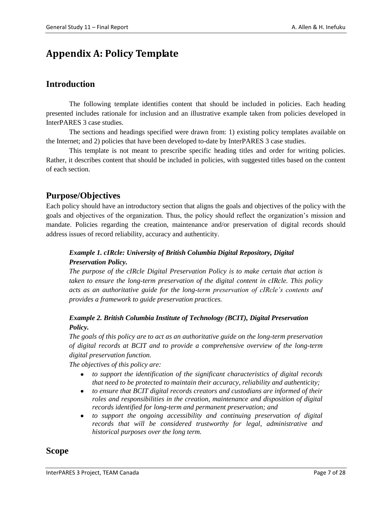## <span id="page-16-0"></span>**Appendix A: Policy Template**

## **Introduction**

The following template identifies content that should be included in policies. Each heading presented includes rationale for inclusion and an illustrative example taken from policies developed in InterPARES 3 case studies.

The sections and headings specified were drawn from: 1) existing policy templates available on the Internet; and 2) policies that have been developed to-date by InterPARES 3 case studies.

This template is not meant to prescribe specific heading titles and order for writing policies. Rather, it describes content that should be included in policies, with suggested titles based on the content of each section.

## **Purpose/Objectives**

Each policy should have an introductory section that aligns the goals and objectives of the policy with the goals and objectives of the organization. Thus, the policy should reflect the organization's mission and mandate. Policies regarding the creation, maintenance and/or preservation of digital records should address issues of record reliability, accuracy and authenticity.

### *Example 1. cIRcle: University of British Columbia Digital Repository, Digital Preservation Policy.*

*The purpose of the cIRcle Digital Preservation Policy is to make certain that action is taken to ensure the long-term preservation of the digital content in cIRcle. This policy acts as an authoritative guide for the long-term preservation of cIRcle's contents and provides a framework to guide preservation practices.*

### *Example 2. British Columbia Institute of Technology (BCIT), Digital Preservation Policy.*

*The goals of this policy are to act as an authoritative guide on the long-term preservation of digital records at BCIT and to provide a comprehensive overview of the long-term digital preservation function.*

*The objectives of this policy are:* 

- *to support the identification of the significant characteristics of digital records that need to be protected to maintain their accuracy, reliability and authenticity;*
- *to ensure that BCIT digital records creators and custodians are informed of their roles and responsibilities in the creation, maintenance and disposition of digital records identified for long-term and permanent preservation; and*
- $\bullet$ *to support the ongoing accessibility and continuing preservation of digital records that will be considered trustworthy for legal, administrative and historical purposes over the long term.*

### **Scope**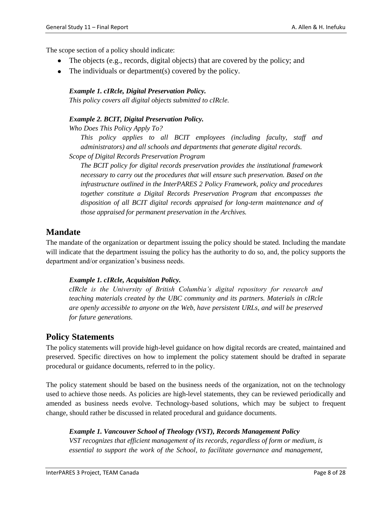The scope section of a policy should indicate:

- $\bullet$  The objects (e.g., records, digital objects) that are covered by the policy; and
- The individuals or department(s) covered by the policy.

#### *Example 1. cIRcle, Digital Preservation Policy.*

*This policy covers all digital objects submitted to cIRcle.*

#### *Example 2. BCIT, Digital Preservation Policy.*

*Who Does This Policy Apply To?*

*This policy applies to all BCIT employees (including faculty, staff and administrators) and all schools and departments that generate digital records.*

*Scope of Digital Records Preservation Program*

*The BCIT policy for digital records preservation provides the institutional framework necessary to carry out the procedures that will ensure such preservation. Based on the infrastructure outlined in the InterPARES 2 Policy Framework, policy and procedures together constitute a Digital Records Preservation Program that encompasses the disposition of all BCIT digital records appraised for long-term maintenance and of those appraised for permanent preservation in the Archives.*

## **Mandate**

The mandate of the organization or department issuing the policy should be stated. Including the mandate will indicate that the department issuing the policy has the authority to do so, and, the policy supports the department and/or organization's business needs.

#### *Example 1. cIRcle, Acquisition Policy.*

*[cIRcle](http://www.interpares.org/rws/display_file.cfm?doc=cIRcle) is the University of British Columbia's digital repository for research and teaching materials created by the [UBC](http://www.interpares.org/rws/display_file.cfm?doc=UBC) community and its partners. Materials in [cIRcle](http://www.interpares.org/rws/display_file.cfm?doc=cIRcle) are openly accessible to anyone on the Web, have persistent [URLs,](http://www.interpares.org/rws/display_file.cfm?doc=URLs,) and will be preserved for future generations.*

### **Policy Statements**

The policy statements will provide high-level guidance on how digital records are created, maintained and preserved. Specific directives on how to implement the policy statement should be drafted in separate procedural or guidance documents, referred to in the policy.

The policy statement should be based on the business needs of the organization, not on the technology used to achieve those needs. As policies are high-level statements, they can be reviewed periodically and amended as business needs evolve. Technology-based solutions, which may be subject to frequent change, should rather be discussed in related procedural and guidance documents.

#### *Example 1. Vancouver School of Theology (VST), Records Management Policy*

*VST recognizes that efficient management of its records, regardless of form or medium, is essential to support the work of the School, to facilitate governance and management,*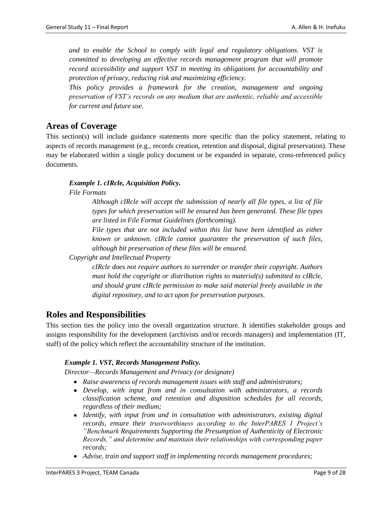*and to enable the School to comply with legal and regulatory obligations. VST is committed to developing an effective records management program that will promote record accessibility and support VST in meeting its obligations for accountability and protection of privacy, reducing risk and maximizing efficiency.* 

*This policy provides a framework for the creation, management and ongoing preservation of VST's records on any medium that are authentic, reliable and accessible for current and future use.*

## **Areas of Coverage**

This section(s) will include guidance statements more specific than the policy statement, relating to aspects of records management (e.g., records creation, retention and disposal, digital preservation). These may be elaborated within a single policy document or be expanded in separate, cross-referenced policy documents.

#### *Example 1. cIRcle, Acquisition Policy.*

*File Formats* 

*Although cIRcle will accept the submission of nearly all file types, a list of file types for which preservation will be ensured has been generated. These file types are listed in File Format Guidelines (forthcoming).*

*File types that are not included within this list have been identified as either known or unknown. cIRcle cannot guarantee the preservation of such files, although bit preservation of these files will be ensured.*

*Copyright and Intellectual Property*

*cIRcle does not require authors to surrender or transfer their copyright. Authors must hold the copyright or distribution rights to material(s) submitted to cIRcle, and should grant cIRcle permission to make said material freely available in the digital repository, and to act upon for preservation purposes.*

## **Roles and Responsibilities**

This section ties the policy into the overall organization structure. It identifies stakeholder groups and assigns responsibility for the development (archivists and/or records managers) and implementation (IT, staff) of the policy which reflect the accountability structure of the institution.

#### *Example 1. VST, Records Management Policy.*

*Director—Records Management and Privacy (or designate)*

- *Raise awareness of records management issues with staff and administrators;*
- *Develop, with input from and in consultation with administrators, a records classification scheme, and retention and disposition schedules for all records, regardless of their medium;*
- *Identify, with input from and in consultation with administrators, existing digital records, ensure their trustworthiness according to the InterPARES 1 Project's "Benchmark Requirements Supporting the Presumption of Authenticity of Electronic Records," and determine and maintain their relationships with corresponding paper records;*
- *Advise, train and support staff in implementing records management procedures;*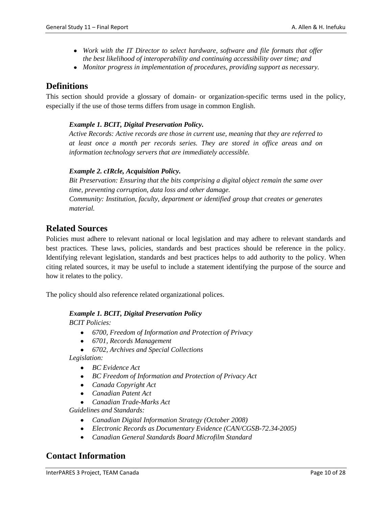- *Work with the IT Director to select hardware, software and file formats that offer the best likelihood of interoperability and continuing accessibility over time; and*
- *Monitor progress in implementation of procedures, providing support as necessary.*

## **Definitions**

This section should provide a glossary of domain- or organization-specific terms used in the policy, especially if the use of those terms differs from usage in common English.

#### *Example 1. BCIT, Digital Preservation Policy.*

*Active Records: Active records are those in current use, meaning that they are referred to at least once a month per records series. They are stored in office areas and on information technology servers that are immediately accessible.*

#### *Example 2. cIRcle, Acquisition Policy.*

*Bit Preservation: Ensuring that the bits comprising a digital object remain the same over time, preventing corruption, data loss and other damage. Community: Institution, faculty, department or identified group that creates or generates material.*

## **Related Sources**

Policies must adhere to relevant national or local legislation and may adhere to relevant standards and best practices. These laws, policies, standards and best practices should be reference in the policy. Identifying relevant legislation, standards and best practices helps to add authority to the policy. When citing related sources, it may be useful to include a statement identifying the purpose of the source and how it relates to the policy.

The policy should also reference related organizational polices.

#### *Example 1. BCIT, Digital Preservation Policy*

*BCIT Policies:*

- *6700, Freedom of Information and Protection of Privacy*
- *6701, Records Management*
- *6702, Archives and Special Collections*

*Legislation:*

- *BC Evidence Act*
- *BC Freedom of Information and Protection of Privacy Act*
- *Canada Copyright Act*
- *Canadian Patent Act*
- *Canadian Trade-Marks Act*

*Guidelines and Standards:*

- *Canadian Digital Information Strategy (October 2008)*
- *Electronic Records as Documentary Evidence (CAN/CGSB-72.34-2005)*
- *Canadian General Standards Board Microfilm Standard*  $\bullet$

## **Contact Information**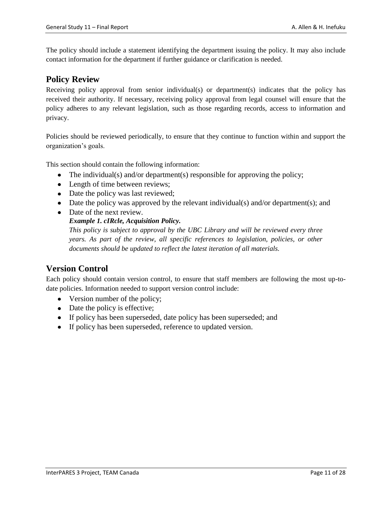The policy should include a statement identifying the department issuing the policy. It may also include contact information for the department if further guidance or clarification is needed.

### **Policy Review**

Receiving policy approval from senior individual(s) or department(s) indicates that the policy has received their authority. If necessary, receiving policy approval from legal counsel will ensure that the policy adheres to any relevant legislation, such as those regarding records, access to information and privacy.

Policies should be reviewed periodically, to ensure that they continue to function within and support the organization's goals.

This section should contain the following information:

- The individual(s) and/or department(s) responsible for approving the policy;
- Length of time between reviews;
- Date the policy was last reviewed;
- Date the policy was approved by the relevant individual(s) and/or department(s); and
- Date of the next review.
	- *Example 1. cIRcle, Acquisition Policy.*

*This policy is subject to approval by the UBC Library and will be reviewed every three years. As part of the review, all specific references to legislation, policies, or other documents should be updated to reflect the latest iteration of all materials.*

## **Version Control**

Each policy should contain version control, to ensure that staff members are following the most up-todate policies. Information needed to support version control include:

- Version number of the policy;
- Date the policy is effective;
- If policy has been superseded, date policy has been superseded; and
- If policy has been superseded, reference to updated version.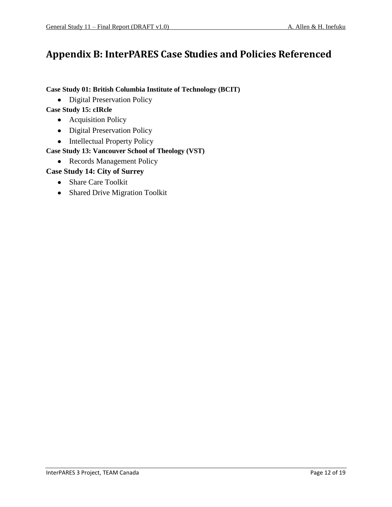## <span id="page-21-0"></span>**Appendix B: InterPARES Case Studies and Policies Referenced**

**Case Study 01: British Columbia Institute of Technology (BCIT)**

• Digital Preservation Policy

**Case Study 15: cIRcle**

- Acquisition Policy
- Digital Preservation Policy
- Intellectual Property Policy

## **Case Study 13: Vancouver School of Theology (VST)**

• Records Management Policy

### **Case Study 14: City of Surrey**

- Share Care Toolkit
- Shared Drive Migration Toolkit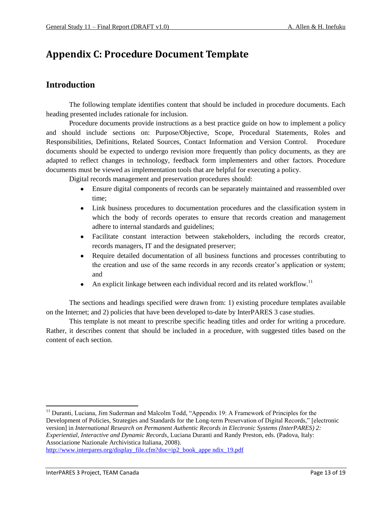## <span id="page-22-0"></span>**Appendix C: Procedure Document Template**

## **Introduction**

The following template identifies content that should be included in procedure documents. Each heading presented includes rationale for inclusion.

Procedure documents provide instructions as a best practice guide on how to implement a policy and should include sections on: Purpose/Objective, Scope, Procedural Statements, Roles and Responsibilities, Definitions, Related Sources, Contact Information and Version Control. Procedure documents should be expected to undergo revision more frequently than policy documents, as they are adapted to reflect changes in technology, feedback form implementers and other factors. Procedure documents must be viewed as implementation tools that are helpful for executing a policy.

Digital records management and preservation procedures should:

- Ensure digital components of records can be separately maintained and reassembled over time;
- Link business procedures to documentation procedures and the classification system in which the body of records operates to ensure that records creation and management adhere to internal standards and guidelines;
- Facilitate constant interaction between stakeholders, including the records creator, records managers, IT and the designated preserver;
- Require detailed documentation of all business functions and processes contributing to  $\bullet$ the creation and use of the same records in any records creator's application or system; and
- An explicit linkage between each individual record and its related workflow.<sup>11</sup>  $\bullet$

The sections and headings specified were drawn from: 1) existing procedure templates available on the Internet; and 2) policies that have been developed to-date by InterPARES 3 case studies.

This template is not meant to prescribe specific heading titles and order for writing a procedure. Rather, it describes content that should be included in a procedure, with suggested titles based on the content of each section.

<sup>11</sup> Duranti, Luciana, Jim Suderman and Malcolm Todd, "Appendix 19: A Framework of Principles for the Development of Policies, Strategies and Standards for the Long-term Preservation of Digital Records," [electronic version] in *International Research on Permanent Authentic Records in Electronic Systems (InterPARES) 2: Experiential, Interactive and Dynamic Records*, Luciana Duranti and Randy Preston, eds. (Padova, Italy: Associazione Nazionale Archivistica Italiana, 2008).

[http://www.interpares.org/display\\_file.cfm?doc=ip2\\_book\\_appe ndix\\_19.pdf](http://www.interpares.org/display_file.cfm?doc=ip2_book_appe%20ndix_19.pdf)

 $\overline{\phantom{a}}$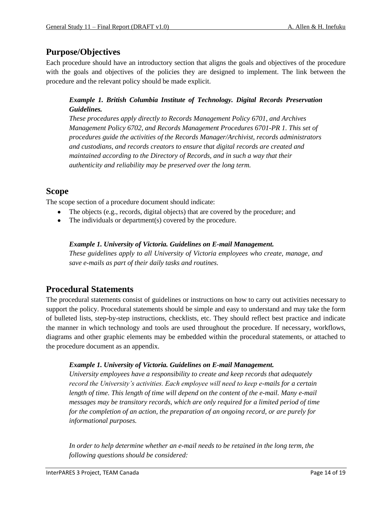## **Purpose/Objectives**

Each procedure should have an introductory section that aligns the goals and objectives of the procedure with the goals and objectives of the policies they are designed to implement. The link between the procedure and the relevant policy should be made explicit.

### *Example 1. British Columbia Institute of Technology. Digital Records Preservation Guidelines.*

*These procedures apply directly to Records Management Policy 6701, and Archives Management Policy 6702, and Records Management Procedures 6701-PR 1. This set of procedures guide the activities of the Records Manager/Archivist, records administrators and custodians, and records creators to ensure that digital records are created and maintained according to the Directory of Records, and in such a way that their authenticity and reliability may be preserved over the long term.*

## **Scope**

The scope section of a procedure document should indicate:

- The objects (e.g., records, digital objects) that are covered by the procedure; and
- The individuals or department(s) covered by the procedure.  $\bullet$

#### *Example 1. University of Victoria. Guidelines on E-mail Management.*

*These guidelines apply to all University of Victoria employees who create, manage, and save e-mails as part of their daily tasks and routines.*

## **Procedural Statements**

The procedural statements consist of guidelines or instructions on how to carry out activities necessary to support the policy. Procedural statements should be simple and easy to understand and may take the form of bulleted lists, step-by-step instructions, checklists, etc. They should reflect best practice and indicate the manner in which technology and tools are used throughout the procedure. If necessary, workflows, diagrams and other graphic elements may be embedded within the procedural statements, or attached to the procedure document as an appendix.

#### *Example 1. University of Victoria. Guidelines on E-mail Management.*

*University employees have a responsibility to create and keep records that adequately record the University's activities. Each employee will need to keep e-mails for a certain length of time. This length of time will depend on the content of the e-mail. Many e-mail messages may be transitory records, which are only required for a limited period of time for the completion of an action, the preparation of an ongoing record, or are purely for informational purposes.*

*In order to help determine whether an e-mail needs to be retained in the long term, the following questions should be considered:*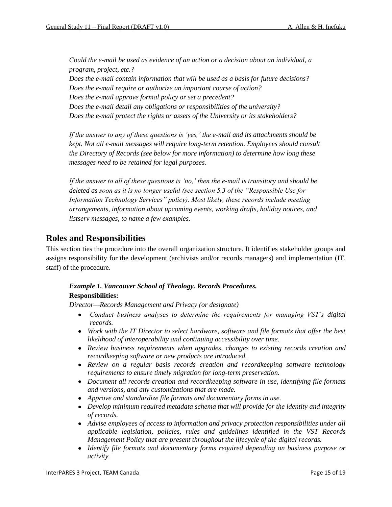*Could the e-mail be used as evidence of an action or a decision about an individual, a program, project, etc.?* 

*Does the e-mail contain information that will be used as a basis for future decisions? Does the e-mail require or authorize an important course of action? Does the e-mail approve formal policy or set a precedent? Does the e-mail detail any obligations or responsibilities of the university? Does the e-mail protect the rights or assets of the University or its stakeholders?*

*If the answer to any of these questions is 'yes,' the e-mail and its attachments should be kept. Not all e-mail messages will require long-term retention. Employees should consult the Directory of Records (see below for more information) to determine how long these messages need to be retained for legal purposes.*

*If the answer to all of these questions is 'no,' then the e-mail is transitory and should be deleted as soon as it is no longer useful (see section 5.3 of the "Responsible Use for Information Technology Services" policy). Most likely, these records include meeting arrangements, information about upcoming events, working drafts, holiday notices, and listserv messages, to name a few examples.*

## **Roles and Responsibilities**

This section ties the procedure into the overall organization structure. It identifies stakeholder groups and assigns responsibility for the development (archivists and/or records managers) and implementation (IT, staff) of the procedure.

#### *Example 1. Vancouver School of Theology. Records Procedures.* **Responsibilities:**

*Director—Records Management and Privacy (or designate)*

- *Conduct business analyses to determine the requirements for managing VST's digital records.*
- *Work with the IT Director to select hardware, software and file formats that offer the best likelihood of interoperability and continuing accessibility over time.*
- *Review business requirements when upgrades, changes to existing records creation and recordkeeping software or new products are introduced.*
- *Review on a regular basis records creation and recordkeeping software technology requirements to ensure timely migration for long-term preservation.*
- *Document all records creation and recordkeeping software in use, identifying file formats and versions, and any customizations that are made.*
- *Approve and standardize file formats and documentary forms in use.*
- *Develop minimum required metadata schema that will provide for the identity and integrity of records.*
- *Advise employees of access to information and privacy protection responsibilities under all applicable legislation, policies, rules and guidelines identified in the VST Records Management Policy that are present throughout the lifecycle of the digital records.*
- *Identify file formats and documentary forms required depending on business purpose or activity.*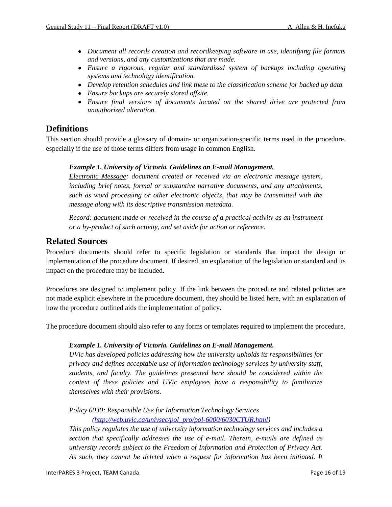- *Document all records creation and recordkeeping software in use, identifying file formats and versions, and any customizations that are made.*
- *Ensure a rigorous, regular and standardized system of backups including operating systems and technology identification.*
- *Develop retention schedules and link these to the classification scheme for backed up data.*
- *Ensure backups are securely stored offsite.*
- *Ensure final versions of documents located on the shared drive are protected from unauthorized alteration.*

### **Definitions**

This section should provide a glossary of domain- or organization-specific terms used in the procedure, especially if the use of those terms differs from usage in common English.

#### *Example 1. University of Victoria. Guidelines on E-mail Management.*

*Electronic Message: document created or received via an electronic message system, including brief notes, formal or substantive narrative documents, and any attachments, such as word processing or other electronic objects, that may be transmitted with the message along with its descriptive transmission metadata.*

*Record: document made or received in the course of a practical activity as an instrument or a by-product of such activity, and set aside for action or reference.*

### **Related Sources**

Procedure documents should refer to specific legislation or standards that impact the design or implementation of the procedure document. If desired, an explanation of the legislation or standard and its impact on the procedure may be included.

Procedures are designed to implement policy. If the link between the procedure and related policies are not made explicit elsewhere in the procedure document, they should be listed here, with an explanation of how the procedure outlined aids the implementation of policy.

The procedure document should also refer to any forms or templates required to implement the procedure.

#### *Example 1. University of Victoria. Guidelines on E-mail Management.*

*UVic has developed policies addressing how the university upholds its responsibilities for privacy and defines acceptable use of information technology services by university staff, students, and faculty. The guidelines presented here should be considered within the context of these policies and UVic employees have a responsibility to familiarize themselves with their provisions.* 

### *Policy 6030: Responsible Use for Information Technology Services*

*[\(http://web.uvic.ca/univsec/pol\\_pro/pol-6000/6030CTUR.html\)](http://web.uvic.ca/univsec/pol_pro/pol-6000/6030CTUR.html)*

*This policy regulates the use of university information technology services and includes a section that specifically addresses the use of e-mail. Therein, e-mails are defined as university records subject to the Freedom of Information and Protection of Privacy Act. As such, they cannot be deleted when a request for information has been initiated. It*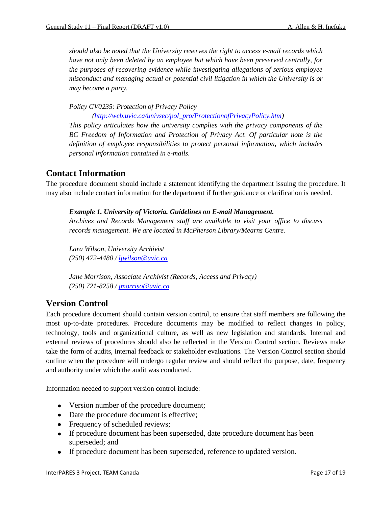*should also be noted that the University reserves the right to access e-mail records which have not only been deleted by an employee but which have been preserved centrally, for the purposes of recovering evidence while investigating allegations of serious employee misconduct and managing actual or potential civil litigation in which the University is or may become a party.*

*Policy GV0235: Protection of Privacy Policy* 

*[\(http://web.uvic.ca/univsec/pol\\_pro/ProtectionofPrivacyPolicy.htm\)](http://web.uvic.ca/univsec/pol_pro/ProtectionofPrivacyPolicy.htm)*

*This policy articulates how the university complies with the privacy components of the BC Freedom of Information and Protection of Privacy Act. Of particular note is the definition of employee responsibilities to protect personal information, which includes personal information contained in e-mails.* 

## **Contact Information**

The procedure document should include a statement identifying the department issuing the procedure. It may also include contact information for the department if further guidance or clarification is needed.

#### *Example 1. University of Victoria. Guidelines on E-mail Management.*

*Archives and Records Management staff are available to visit your office to discuss records management. We are located in McPherson Library/Mearns Centre.* 

*Lara Wilson, University Archivist (250) 472-4480 / [ljwilson@uvic.ca](mailto:ljwilson@uvic.ca)*

*Jane Morrison, Associate Archivist (Records, Access and Privacy) (250) 721-8258 / [jmorriso@uvic.ca](mailto:jmorrison@uvic.ca)*

## **Version Control**

Each procedure document should contain version control, to ensure that staff members are following the most up-to-date procedures. Procedure documents may be modified to reflect changes in policy, technology, tools and organizational culture, as well as new legislation and standards. Internal and external reviews of procedures should also be reflected in the Version Control section. Reviews make take the form of audits, internal feedback or stakeholder evaluations. The Version Control section should outline when the procedure will undergo regular review and should reflect the purpose, date, frequency and authority under which the audit was conducted.

Information needed to support version control include:

- Version number of the procedure document;
- Date the procedure document is effective;
- Frequency of scheduled reviews;
- If procedure document has been superseded, date procedure document has been superseded; and
- If procedure document has been superseded, reference to updated version.